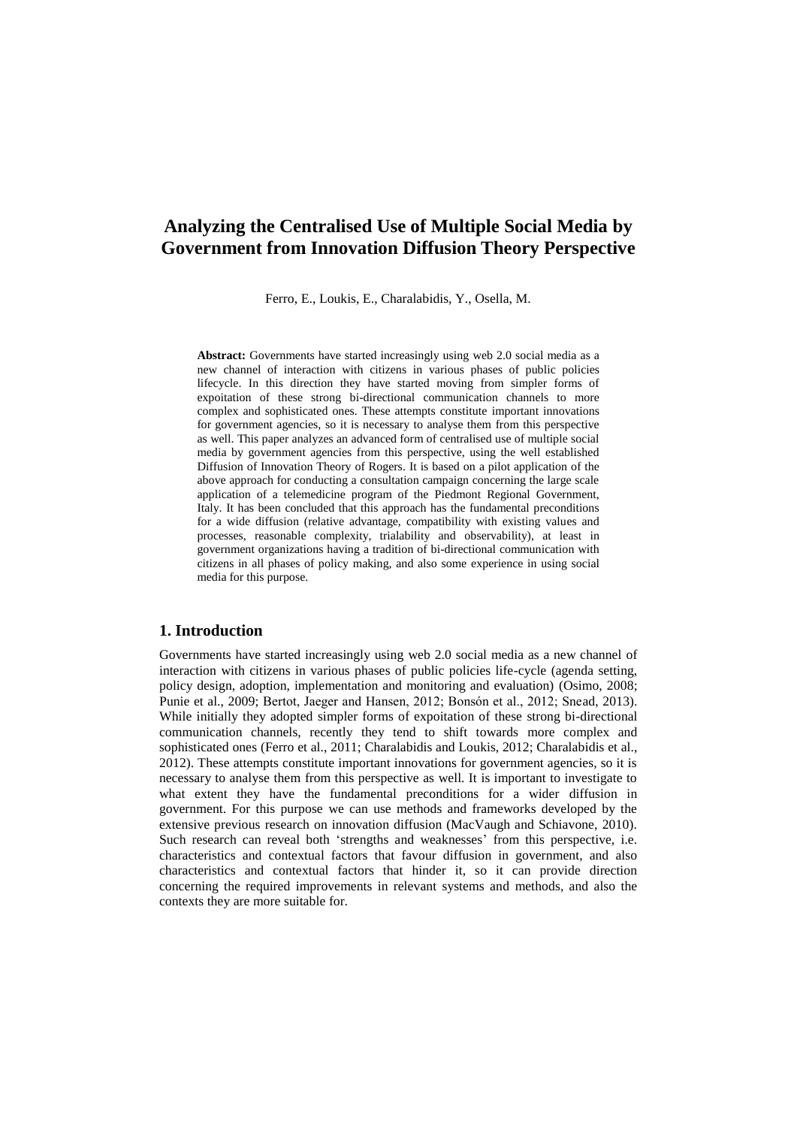# **Analyzing the Centralised Use of Multiple Social Media by Government from Innovation Diffusion Theory Perspective**

Ferro, E., Loukis, E., Charalabidis, Y., Osella, M.

**Abstract:** Governments have started increasingly using web 2.0 social media as a new channel of interaction with citizens in various phases of public policies lifecycle. In this direction they have started moving from simpler forms of expoitation of these strong bi-directional communication channels to more complex and sophisticated ones. These attempts constitute important innovations for government agencies, so it is necessary to analyse them from this perspective as well. This paper analyzes an advanced form of centralised use of multiple social media by government agencies from this perspective, using the well established Diffusion of Innovation Theory of Rogers. It is based on a pilot application of the above approach for conducting a consultation campaign concerning the large scale application of a telemedicine program of the Piedmont Regional Government, Italy. It has been concluded that this approach has the fundamental preconditions for a wide diffusion (relative advantage, compatibility with existing values and processes, reasonable complexity, trialability and observability), at least in government organizations having a tradition of bi-directional communication with citizens in all phases of policy making, and also some experience in using social media for this purpose.

## **1. Introduction**

Governments have started increasingly using web 2.0 social media as a new channel of interaction with citizens in various phases of public policies life-cycle (agenda setting, policy design, adoption, implementation and monitoring and evaluation) (Osimo, 2008; Punie et al., 2009; Bertot, Jaeger and Hansen, 2012; Bonsón et al., 2012; Snead, 2013). While initially they adopted simpler forms of expoitation of these strong bi-directional communication channels, recently they tend to shift towards more complex and sophisticated ones (Ferro et al., 2011; Charalabidis and Loukis, 2012; Charalabidis et al., 2012). These attempts constitute important innovations for government agencies, so it is necessary to analyse them from this perspective as well. It is important to investigate to what extent they have the fundamental preconditions for a wider diffusion in government. For this purpose we can use methods and frameworks developed by the extensive previous research on innovation diffusion (MacVaugh and Schiavone, 2010). Such research can reveal both 'strengths and weaknesses' from this perspective, i.e. characteristics and contextual factors that favour diffusion in government, and also characteristics and contextual factors that hinder it, so it can provide direction concerning the required improvements in relevant systems and methods, and also the contexts they are more suitable for.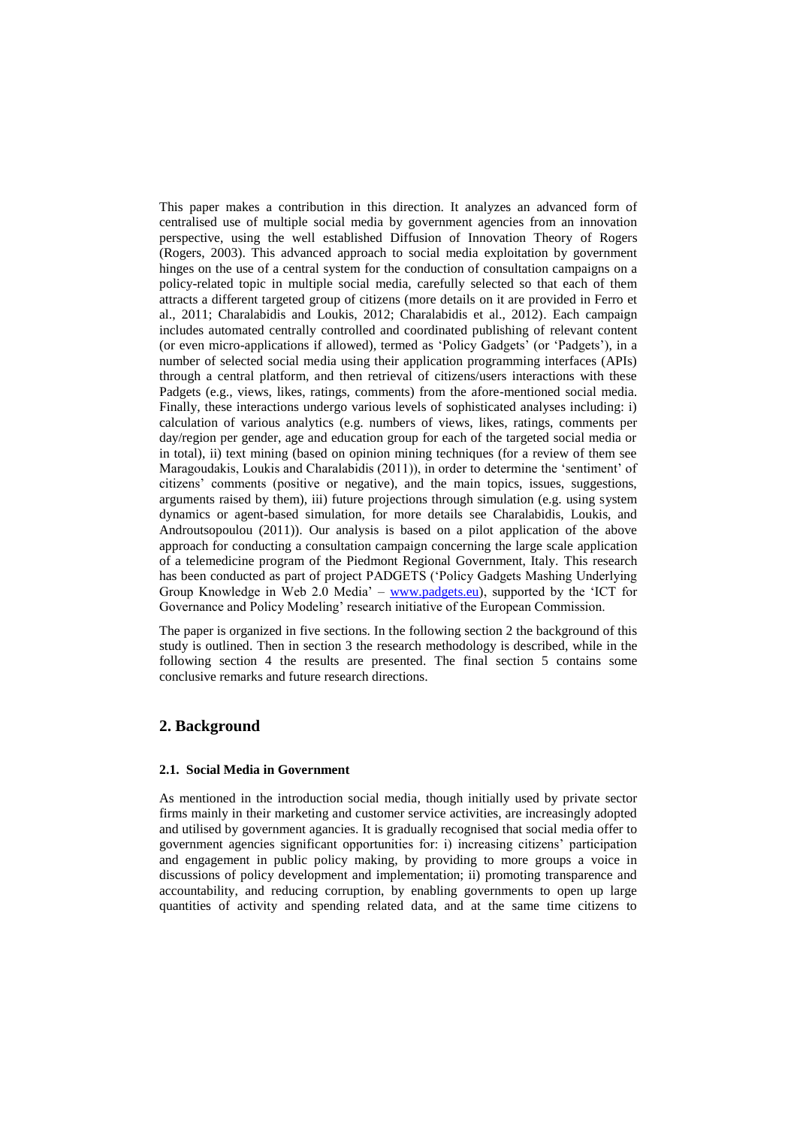This paper makes a contribution in this direction. It analyzes an advanced form of centralised use of multiple social media by government agencies from an innovation perspective, using the well established Diffusion of Innovation Theory of Rogers (Rogers, 2003). This advanced approach to social media exploitation by government hinges on the use of a central system for the conduction of consultation campaigns on a policy-related topic in multiple social media, carefully selected so that each of them attracts a different targeted group of citizens (more details on it are provided in Ferro et al., 2011; Charalabidis and Loukis, 2012; Charalabidis et al., 2012). Each campaign includes automated centrally controlled and coordinated publishing of relevant content (or even micro-applications if allowed), termed as "Policy Gadgets" (or "Padgets"), in a number of selected social media using their application programming interfaces (APIs) through a central platform, and then retrieval of citizens/users interactions with these Padgets (e.g., views, likes, ratings, comments) from the afore-mentioned social media. Finally, these interactions undergo various levels of sophisticated analyses including: i) calculation of various analytics (e.g. numbers of views, likes, ratings, comments per day/region per gender, age and education group for each of the targeted social media or in total), ii) text mining (based on opinion mining techniques (for a review of them see Maragoudakis, Loukis and Charalabidis (2011)), in order to determine the "sentiment" of citizens" comments (positive or negative), and the main topics, issues, suggestions, arguments raised by them), iii) future projections through simulation (e.g. using system dynamics or agent-based simulation, for more details see Charalabidis, Loukis, and Androutsopoulou (2011)). Our analysis is based on a pilot application of the above approach for conducting a consultation campaign concerning the large scale application of a telemedicine program of the Piedmont Regional Government, Italy. This research has been conducted as part of project PADGETS ("Policy Gadgets Mashing Underlying Group Knowledge in Web 2.0 Media' – [www.padgets.eu\)](http://www.padgets.eu/), supported by the 'ICT for Governance and Policy Modeling' research initiative of the European Commission.

The paper is organized in five sections. In the following section 2 the background of this study is outlined. Then in section 3 the research methodology is described, while in the following section 4 the results are presented. The final section 5 contains some conclusive remarks and future research directions.

# **2. Background**

#### **2.1. Social Media in Government**

As mentioned in the introduction social media, though initially used by private sector firms mainly in their marketing and customer service activities, are increasingly adopted and utilised by government agancies. It is gradually recognised that social media offer to government agencies significant opportunities for: i) increasing citizens" participation and engagement in public policy making, by providing to more groups a voice in discussions of policy development and implementation; ii) promoting transparence and accountability, and reducing corruption, by enabling governments to open up large quantities of activity and spending related data, and at the same time citizens to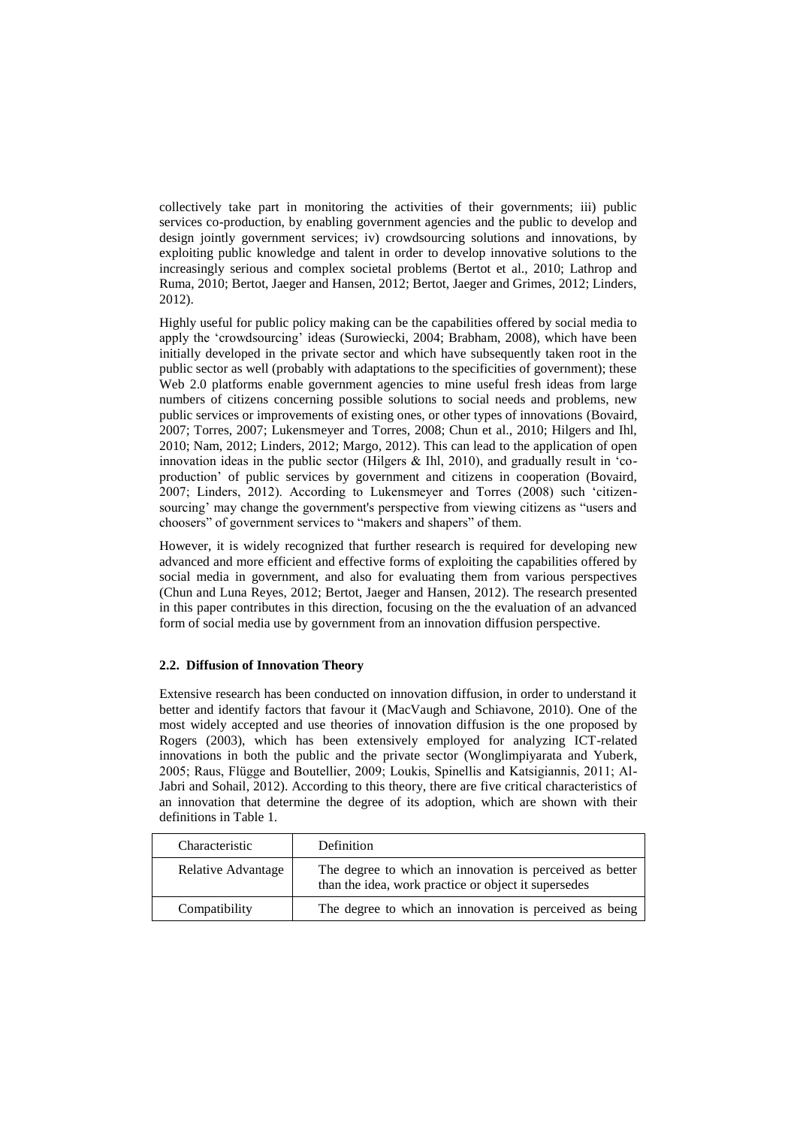collectively take part in monitoring the activities of their governments; iii) public services co-production, by enabling government agencies and the public to develop and design jointly government services; iv) crowdsourcing solutions and innovations, by exploiting public knowledge and talent in order to develop innovative solutions to the increasingly serious and complex societal problems (Bertot et al., 2010; Lathrop and Ruma, 2010; Bertot, Jaeger and Hansen, 2012; Bertot, Jaeger and Grimes, 2012; Linders, 2012).

Highly useful for public policy making can be the capabilities offered by social media to apply the "crowdsourcing" ideas (Surowiecki, 2004; Brabham, 2008), which have been initially developed in the private sector and which have subsequently taken root in the public sector as well (probably with adaptations to the specificities of government); these Web 2.0 platforms enable government agencies to mine useful fresh ideas from large numbers of citizens concerning possible solutions to social needs and problems, new public services or improvements of existing ones, or other types of innovations (Bovaird, 2007; Torres, 2007; Lukensmeyer and Torres, 2008; Chun et al., 2010; Hilgers and Ihl, 2010; Nam, 2012; Linders, 2012; Margo, 2012). This can lead to the application of open innovation ideas in the public sector (Hilgers  $\&$  Ihl, 2010), and gradually result in 'coproduction" of public services by government and citizens in cooperation (Bovaird, 2007; Linders, 2012). According to Lukensmeyer and Torres (2008) such "citizensourcing' may change the government's perspective from viewing citizens as "users and choosers" of government services to "makers and shapers" of them.

However, it is widely recognized that further research is required for developing new advanced and more efficient and effective forms of exploiting the capabilities offered by social media in government, and also for evaluating them from various perspectives (Chun and Luna Reyes, 2012; Bertot, Jaeger and Hansen, 2012). The research presented in this paper contributes in this direction, focusing on the the evaluation of an advanced form of social media use by government from an innovation diffusion perspective.

## **2.2. Diffusion of Innovation Theory**

Extensive research has been conducted on innovation diffusion, in order to understand it better and identify factors that favour it (MacVaugh and Schiavone, 2010). One of the most widely accepted and use theories of innovation diffusion is the one proposed by Rogers (2003), which has been extensively employed for analyzing ICT-related innovations in both the public and the private sector (Wonglimpiyarata and Yuberk, 2005; Raus, Flügge and Boutellier, 2009; Loukis, Spinellis and Katsigiannis, 2011; Al-Jabri and Sohail, 2012). According to this theory, there are five critical characteristics of an innovation that determine the degree of its adoption, which are shown with their definitions in Table 1.

| Characteristic     | Definition                                                                                                       |
|--------------------|------------------------------------------------------------------------------------------------------------------|
| Relative Advantage | The degree to which an innovation is perceived as better<br>than the idea, work practice or object it supersedes |
| Compatibility      | The degree to which an innovation is perceived as being                                                          |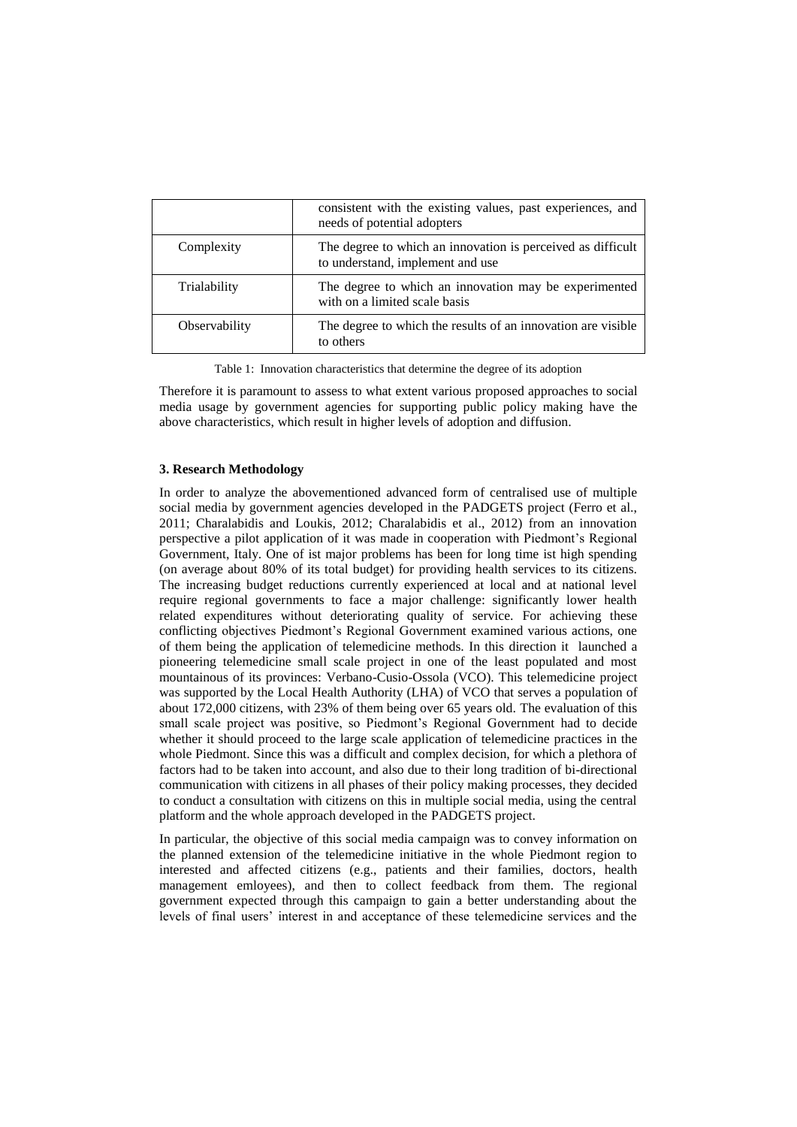|               | consistent with the existing values, past experiences, and<br>needs of potential adopters       |
|---------------|-------------------------------------------------------------------------------------------------|
| Complexity    | The degree to which an innovation is perceived as difficult<br>to understand, implement and use |
| Trialability  | The degree to which an innovation may be experimented<br>with on a limited scale basis          |
| Observability | The degree to which the results of an innovation are visible<br>to others                       |

Table 1: Innovation characteristics that determine the degree of its adoption

Therefore it is paramount to assess to what extent various proposed approaches to social media usage by government agencies for supporting public policy making have the above characteristics, which result in higher levels of adoption and diffusion.

#### **3. Research Methodology**

In order to analyze the abovementioned advanced form of centralised use of multiple social media by government agencies developed in the PADGETS project (Ferro et al., 2011; Charalabidis and Loukis, 2012; Charalabidis et al., 2012) from an innovation perspective a pilot application of it was made in cooperation with Piedmont"s Regional Government, Italy. One of ist major problems has been for long time ist high spending (on average about 80% of its total budget) for providing health services to its citizens. The increasing budget reductions currently experienced at local and at national level require regional governments to face a major challenge: significantly lower health related expenditures without deteriorating quality of service. For achieving these conflicting objectives Piedmont"s Regional Government examined various actions, one of them being the application of telemedicine methods. In this direction it launched a pioneering telemedicine small scale project in one of the least populated and most mountainous of its provinces: Verbano-Cusio-Ossola (VCO). This telemedicine project was supported by the Local Health Authority (LHA) of VCO that serves a population of about 172,000 citizens, with 23% of them being over 65 years old. The evaluation of this small scale project was positive, so Piedmont's Regional Government had to decide whether it should proceed to the large scale application of telemedicine practices in the whole Piedmont. Since this was a difficult and complex decision, for which a plethora of factors had to be taken into account, and also due to their long tradition of bi-directional communication with citizens in all phases of their policy making processes, they decided to conduct a consultation with citizens on this in multiple social media, using the central platform and the whole approach developed in the PADGETS project.

In particular, the objective of this social media campaign was to convey information on the planned extension of the telemedicine initiative in the whole Piedmont region to interested and affected citizens (e.g., patients and their families, doctors, health management emloyees), and then to collect feedback from them. The regional government expected through this campaign to gain a better understanding about the levels of final users" interest in and acceptance of these telemedicine services and the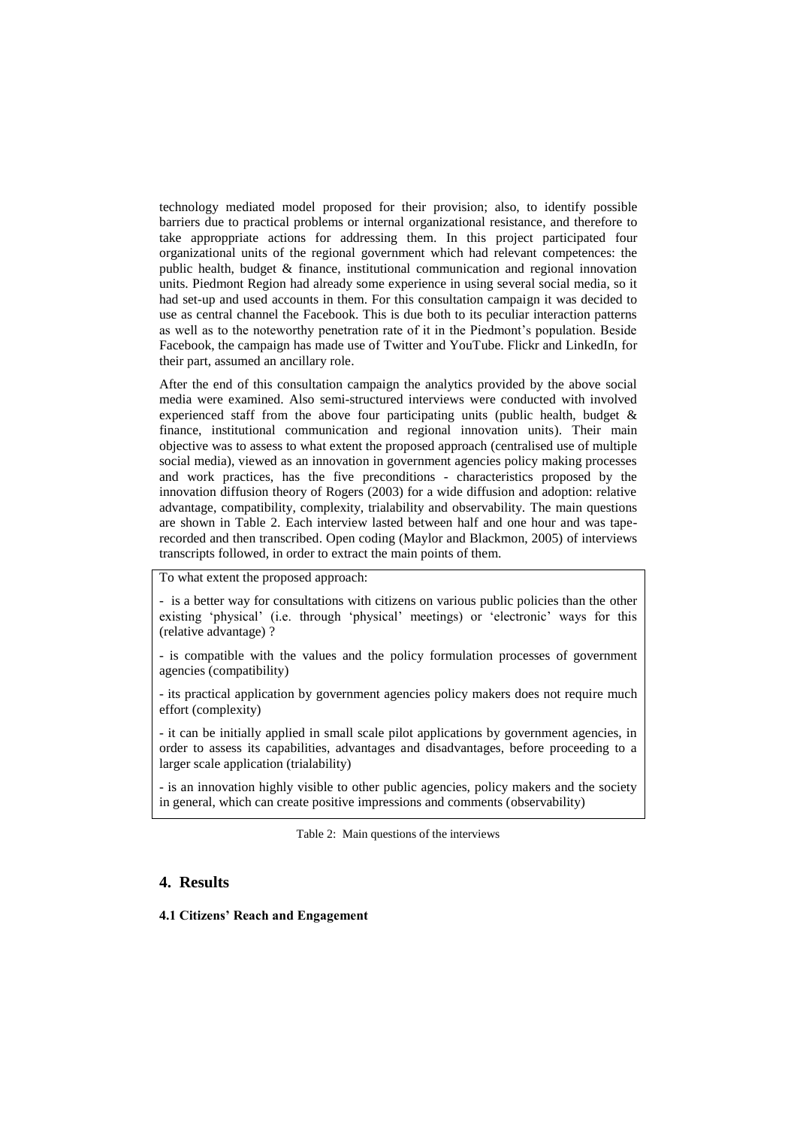technology mediated model proposed for their provision; also, to identify possible barriers due to practical problems or internal organizational resistance, and therefore to take approppriate actions for addressing them. In this project participated four organizational units of the regional government which had relevant competences: the public health, budget & finance, institutional communication and regional innovation units. Piedmont Region had already some experience in using several social media, so it had set-up and used accounts in them. For this consultation campaign it was decided to use as central channel the Facebook. This is due both to its peculiar interaction patterns as well as to the noteworthy penetration rate of it in the Piedmont"s population. Beside Facebook, the campaign has made use of Twitter and YouTube. Flickr and LinkedIn, for their part, assumed an ancillary role.

After the end of this consultation campaign the analytics provided by the above social media were examined. Also semi-structured interviews were conducted with involved experienced staff from the above four participating units (public health, budget & finance, institutional communication and regional innovation units). Their main objective was to assess to what extent the proposed approach (centralised use of multiple social media), viewed as an innovation in government agencies policy making processes and work practices, has the five preconditions - characteristics proposed by the innovation diffusion theory of Rogers (2003) for a wide diffusion and adoption: relative advantage, compatibility, complexity, trialability and observability. The main questions are shown in Table 2. Each interview lasted between half and one hour and was taperecorded and then transcribed. Open coding (Maylor and Blackmon, 2005) of interviews transcripts followed, in order to extract the main points of them.

To what extent the proposed approach:

- is a better way for consultations with citizens on various public policies than the other existing "physical" (i.e. through "physical" meetings) or "electronic" ways for this (relative advantage) ?

- is compatible with the values and the policy formulation processes of government agencies (compatibility)

- its practical application by government agencies policy makers does not require much effort (complexity)

- it can be initially applied in small scale pilot applications by government agencies, in order to assess its capabilities, advantages and disadvantages, before proceeding to a larger scale application (trialability)

- is an innovation highly visible to other public agencies, policy makers and the society in general, which can create positive impressions and comments (observability)

Table 2: Main questions of the interviews

## **4. Results**

**4.1 Citizens' Reach and Engagement**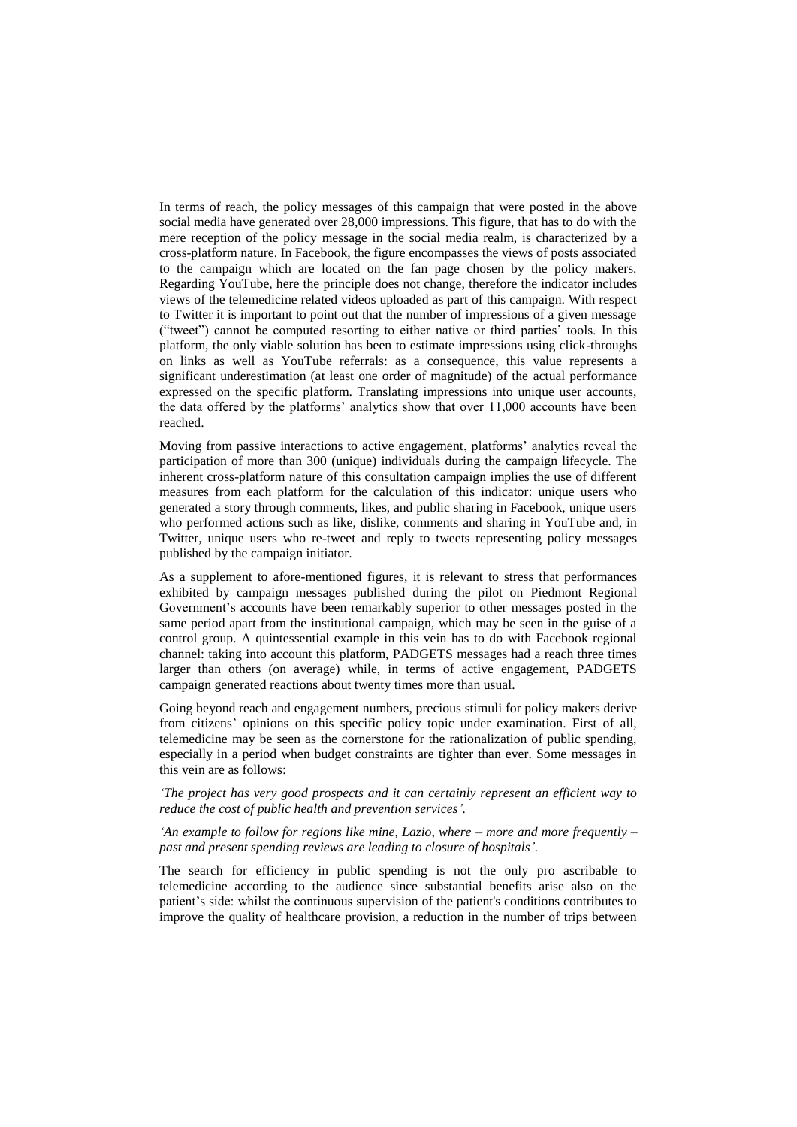In terms of reach, the policy messages of this campaign that were posted in the above social media have generated over 28,000 impressions. This figure, that has to do with the mere reception of the policy message in the social media realm, is characterized by a cross-platform nature. In Facebook, the figure encompasses the views of posts associated to the campaign which are located on the fan page chosen by the policy makers. Regarding YouTube, here the principle does not change, therefore the indicator includes views of the telemedicine related videos uploaded as part of this campaign. With respect to Twitter it is important to point out that the number of impressions of a given message ("tweet") cannot be computed resorting to either native or third parties" tools. In this platform, the only viable solution has been to estimate impressions using click-throughs on links as well as YouTube referrals: as a consequence, this value represents a significant underestimation (at least one order of magnitude) of the actual performance expressed on the specific platform. Translating impressions into unique user accounts, the data offered by the platforms' analytics show that over 11,000 accounts have been reached.

Moving from passive interactions to active engagement, platforms" analytics reveal the participation of more than 300 (unique) individuals during the campaign lifecycle. The inherent cross-platform nature of this consultation campaign implies the use of different measures from each platform for the calculation of this indicator: unique users who generated a story through comments, likes, and public sharing in Facebook, unique users who performed actions such as like, dislike, comments and sharing in YouTube and, in Twitter, unique users who re-tweet and reply to tweets representing policy messages published by the campaign initiator.

As a supplement to afore-mentioned figures, it is relevant to stress that performances exhibited by campaign messages published during the pilot on Piedmont Regional Government's accounts have been remarkably superior to other messages posted in the same period apart from the institutional campaign, which may be seen in the guise of a control group. A quintessential example in this vein has to do with Facebook regional channel: taking into account this platform, PADGETS messages had a reach three times larger than others (on average) while, in terms of active engagement, PADGETS campaign generated reactions about twenty times more than usual.

Going beyond reach and engagement numbers, precious stimuli for policy makers derive from citizens" opinions on this specific policy topic under examination. First of all, telemedicine may be seen as the cornerstone for the rationalization of public spending, especially in a period when budget constraints are tighter than ever. Some messages in this vein are as follows:

*'The project has very good prospects and it can certainly represent an efficient way to reduce the cost of public health and prevention services'.*

## *'An example to follow for regions like mine, Lazio, where – more and more frequently – past and present spending reviews are leading to closure of hospitals'.*

The search for efficiency in public spending is not the only pro ascribable to telemedicine according to the audience since substantial benefits arise also on the patient"s side: whilst the continuous supervision of the patient's conditions contributes to improve the quality of healthcare provision, a reduction in the number of trips between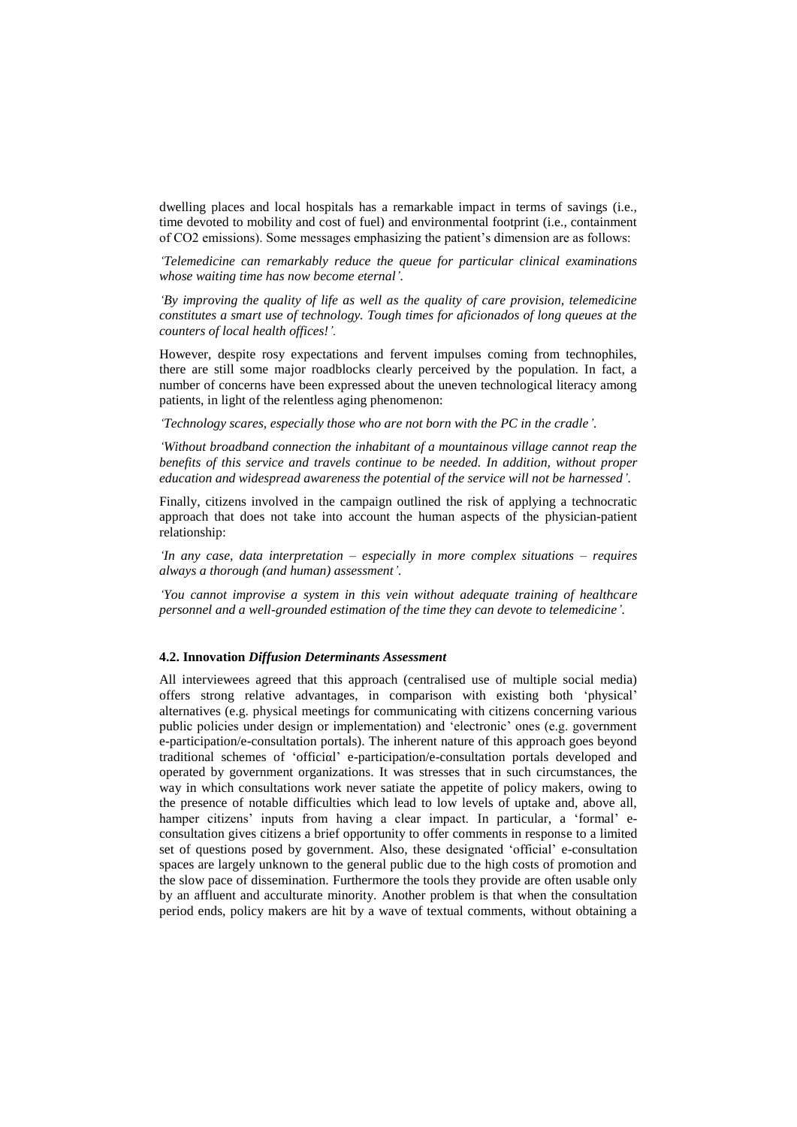dwelling places and local hospitals has a remarkable impact in terms of savings (i.e., time devoted to mobility and cost of fuel) and environmental footprint (i.e., containment of CO2 emissions). Some messages emphasizing the patient"s dimension are as follows:

*'Telemedicine can remarkably reduce the queue for particular clinical examinations whose waiting time has now become eternal'.*

*'By improving the quality of life as well as the quality of care provision, telemedicine constitutes a smart use of technology. Tough times for aficionados of long queues at the counters of local health offices!'.*

However, despite rosy expectations and fervent impulses coming from technophiles, there are still some major roadblocks clearly perceived by the population. In fact, a number of concerns have been expressed about the uneven technological literacy among patients, in light of the relentless aging phenomenon:

*'Technology scares, especially those who are not born with the PC in the cradle'.*

*'Without broadband connection the inhabitant of a mountainous village cannot reap the benefits of this service and travels continue to be needed. In addition, without proper education and widespread awareness the potential of the service will not be harnessed'.*

Finally, citizens involved in the campaign outlined the risk of applying a technocratic approach that does not take into account the human aspects of the physician-patient relationship:

*'In any case, data interpretation – especially in more complex situations – requires always a thorough (and human) assessment'.*

*'You cannot improvise a system in this vein without adequate training of healthcare personnel and a well-grounded estimation of the time they can devote to telemedicine'.*

#### **4.2. Innovation** *Diffusion Determinants Assessment*

All interviewees agreed that this approach (centralised use of multiple social media) offers strong relative advantages, in comparison with existing both "physical" alternatives (e.g. physical meetings for communicating with citizens concerning various public policies under design or implementation) and "electronic" ones (e.g. government e-participation/e-consultation portals). The inherent nature of this approach goes beyond traditional schemes of "officiαl" e-participation/e-consultation portals developed and operated by government organizations. It was stresses that in such circumstances, the way in which consultations work never satiate the appetite of policy makers, owing to the presence of notable difficulties which lead to low levels of uptake and, above all, hamper citizens' inputs from having a clear impact. In particular, a 'formal' econsultation gives citizens a brief opportunity to offer comments in response to a limited set of questions posed by government. Also, these designated "official" e-consultation spaces are largely unknown to the general public due to the high costs of promotion and the slow pace of dissemination. Furthermore the tools they provide are often usable only by an affluent and acculturate minority. Another problem is that when the consultation period ends, policy makers are hit by a wave of textual comments, without obtaining a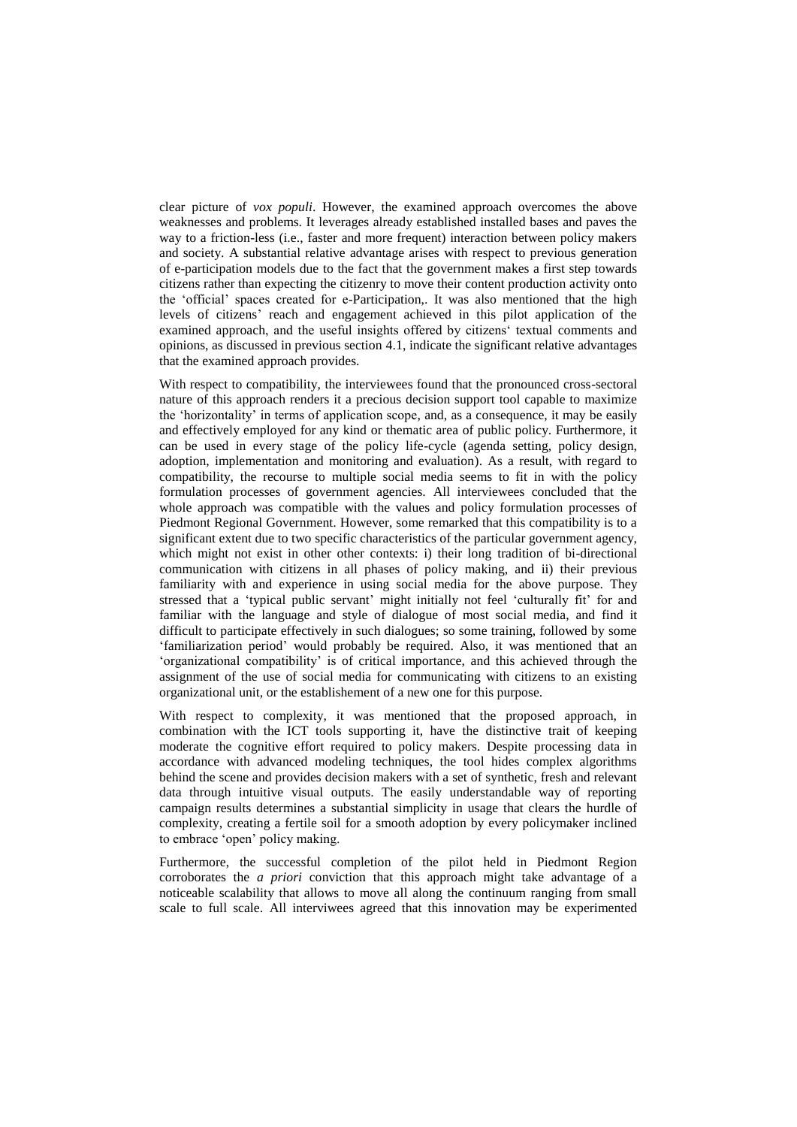clear picture of *vox populi*. However, the examined approach overcomes the above weaknesses and problems. It leverages already established installed bases and paves the way to a friction-less (i.e., faster and more frequent) interaction between policy makers and society. A substantial relative advantage arises with respect to previous generation of e-participation models due to the fact that the government makes a first step towards citizens rather than expecting the citizenry to move their content production activity onto the "official" spaces created for e-Participation,. It was also mentioned that the high levels of citizens" reach and engagement achieved in this pilot application of the examined approach, and the useful insights offered by citizens' textual comments and opinions, as discussed in previous section 4.1, indicate the significant relative advantages that the examined approach provides.

With respect to compatibility, the interviewees found that the pronounced cross-sectoral nature of this approach renders it a precious decision support tool capable to maximize the 'horizontality' in terms of application scope, and, as a consequence, it may be easily and effectively employed for any kind or thematic area of public policy. Furthermore, it can be used in every stage of the policy life-cycle (agenda setting, policy design, adoption, implementation and monitoring and evaluation). As a result, with regard to compatibility, the recourse to multiple social media seems to fit in with the policy formulation processes of government agencies. All interviewees concluded that the whole approach was compatible with the values and policy formulation processes of Piedmont Regional Government. However, some remarked that this compatibility is to a significant extent due to two specific characteristics of the particular government agency, which might not exist in other other contexts: i) their long tradition of bi-directional communication with citizens in all phases of policy making, and ii) their previous familiarity with and experience in using social media for the above purpose. They stressed that a 'typical public servant' might initially not feel 'culturally fit' for and familiar with the language and style of dialogue of most social media, and find it difficult to participate effectively in such dialogues; so some training, followed by some 'familiarization period' would probably be required. Also, it was mentioned that an "organizational compatibility" is of critical importance, and this achieved through the assignment of the use of social media for communicating with citizens to an existing organizational unit, or the establishement of a new one for this purpose.

With respect to complexity, it was mentioned that the proposed approach, in combination with the ICT tools supporting it, have the distinctive trait of keeping moderate the cognitive effort required to policy makers. Despite processing data in accordance with advanced modeling techniques, the tool hides complex algorithms behind the scene and provides decision makers with a set of synthetic, fresh and relevant data through intuitive visual outputs. The easily understandable way of reporting campaign results determines a substantial simplicity in usage that clears the hurdle of complexity, creating a fertile soil for a smooth adoption by every policymaker inclined to embrace "open" policy making.

Furthermore, the successful completion of the pilot held in Piedmont Region corroborates the *a priori* conviction that this approach might take advantage of a noticeable scalability that allows to move all along the continuum ranging from small scale to full scale. All interviwees agreed that this innovation may be experimented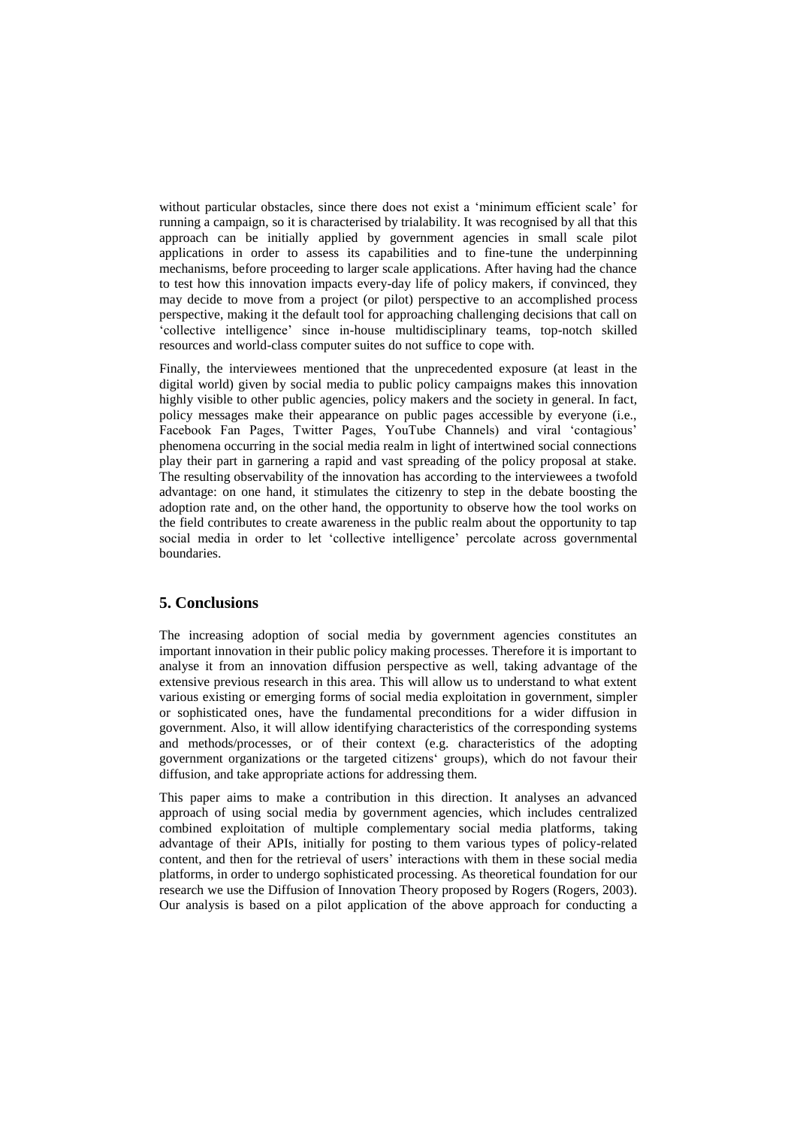without particular obstacles, since there does not exist a "minimum efficient scale" for running a campaign, so it is characterised by trialability. It was recognised by all that this approach can be initially applied by government agencies in small scale pilot applications in order to assess its capabilities and to fine-tune the underpinning mechanisms, before proceeding to larger scale applications. After having had the chance to test how this innovation impacts every-day life of policy makers, if convinced, they may decide to move from a project (or pilot) perspective to an accomplished process perspective, making it the default tool for approaching challenging decisions that call on "collective intelligence" since in-house multidisciplinary teams, top-notch skilled resources and world-class computer suites do not suffice to cope with.

Finally, the interviewees mentioned that the unprecedented exposure (at least in the digital world) given by social media to public policy campaigns makes this innovation highly visible to other public agencies, policy makers and the society in general. In fact, policy messages make their appearance on public pages accessible by everyone (i.e., Facebook Fan Pages, Twitter Pages, YouTube Channels) and viral "contagious" phenomena occurring in the social media realm in light of intertwined social connections play their part in garnering a rapid and vast spreading of the policy proposal at stake. The resulting observability of the innovation has according to the interviewees a twofold advantage: on one hand, it stimulates the citizenry to step in the debate boosting the adoption rate and, on the other hand, the opportunity to observe how the tool works on the field contributes to create awareness in the public realm about the opportunity to tap social media in order to let "collective intelligence" percolate across governmental boundaries.

## **5. Conclusions**

The increasing adoption of social media by government agencies constitutes an important innovation in their public policy making processes. Therefore it is important to analyse it from an innovation diffusion perspective as well, taking advantage of the extensive previous research in this area. This will allow us to understand to what extent various existing or emerging forms of social media exploitation in government, simpler or sophisticated ones, have the fundamental preconditions for a wider diffusion in government. Also, it will allow identifying characteristics of the corresponding systems and methods/processes, or of their context (e.g. characteristics of the adopting government organizations or the targeted citizens" groups), which do not favour their diffusion, and take appropriate actions for addressing them.

This paper aims to make a contribution in this direction. It analyses an advanced approach of using social media by government agencies, which includes centralized combined exploitation of multiple complementary social media platforms, taking advantage of their APIs, initially for posting to them various types of policy-related content, and then for the retrieval of users" interactions with them in these social media platforms, in order to undergo sophisticated processing. As theoretical foundation for our research we use the Diffusion of Innovation Theory proposed by Rogers (Rogers, 2003). Our analysis is based on a pilot application of the above approach for conducting a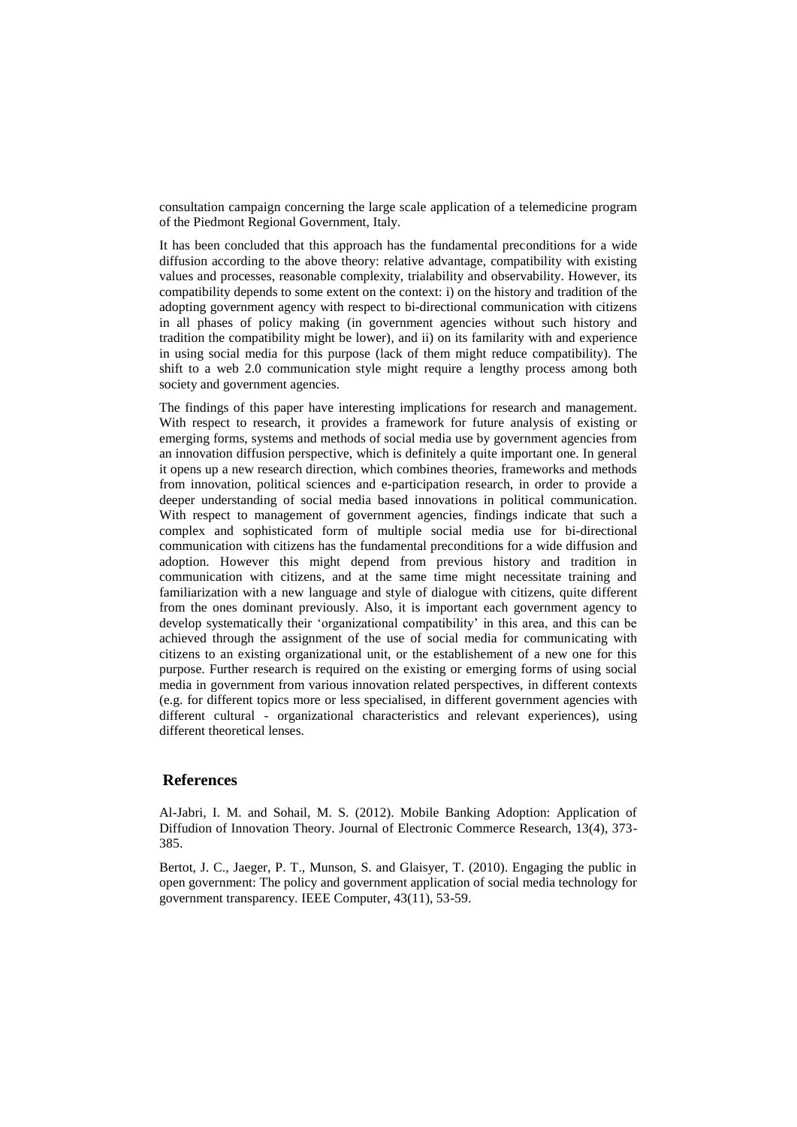consultation campaign concerning the large scale application of a telemedicine program of the Piedmont Regional Government, Italy.

It has been concluded that this approach has the fundamental preconditions for a wide diffusion according to the above theory: relative advantage, compatibility with existing values and processes, reasonable complexity, trialability and observability. However, its compatibility depends to some extent on the context: i) on the history and tradition of the adopting government agency with respect to bi-directional communication with citizens in all phases of policy making (in government agencies without such history and tradition the compatibility might be lower), and ii) on its familarity with and experience in using social media for this purpose (lack of them might reduce compatibility). The shift to a web 2.0 communication style might require a lengthy process among both society and government agencies.

The findings of this paper have interesting implications for research and management. With respect to research, it provides a framework for future analysis of existing or emerging forms, systems and methods of social media use by government agencies from an innovation diffusion perspective, which is definitely a quite important one. In general it opens up a new research direction, which combines theories, frameworks and methods from innovation, political sciences and e-participation research, in order to provide a deeper understanding of social media based innovations in political communication. With respect to management of government agencies, findings indicate that such a complex and sophisticated form of multiple social media use for bi-directional communication with citizens has the fundamental preconditions for a wide diffusion and adoption. However this might depend from previous history and tradition in communication with citizens, and at the same time might necessitate training and familiarization with a new language and style of dialogue with citizens, quite different from the ones dominant previously. Also, it is important each government agency to develop systematically their 'organizational compatibility' in this area, and this can be achieved through the assignment of the use of social media for communicating with citizens to an existing organizational unit, or the establishement of a new one for this purpose. Further research is required on the existing or emerging forms of using social media in government from various innovation related perspectives, in different contexts (e.g. for different topics more or less specialised, in different government agencies with different cultural - organizational characteristics and relevant experiences), using different theoretical lenses.

## **References**

Al-Jabri, I. M. and Sohail, M. S. (2012). Mobile Banking Adoption: Application of Diffudion of Innovation Theory. Journal of Electronic Commerce Research, 13(4), 373- 385.

Bertot, J. C., Jaeger, P. T., Munson, S. and Glaisyer, T. (2010). Engaging the public in open government: The policy and government application of social media technology for government transparency. IEEE Computer, 43(11), 53-59.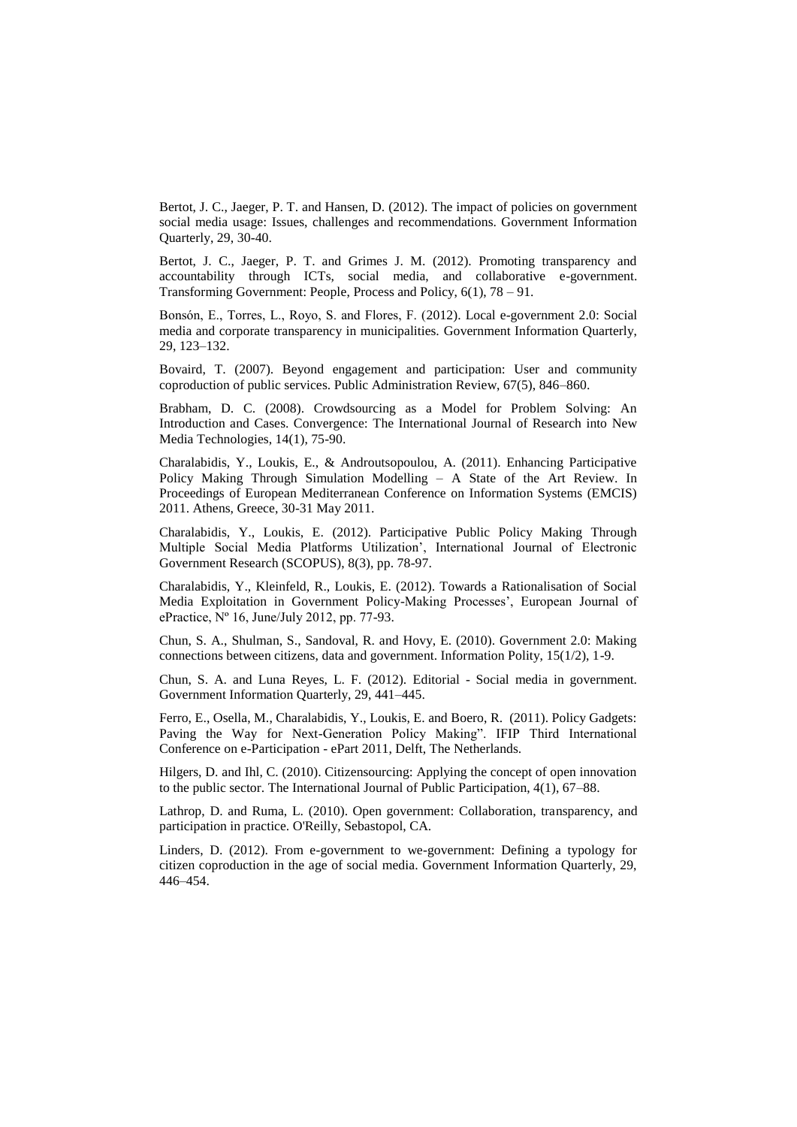Bertot, J. C., Jaeger, P. T. and Hansen, D. (2012). The impact of policies on government social media usage: Issues, challenges and recommendations. Government Information Quarterly, 29, 30-40.

Bertot, J. C., Jaeger, P. T. and Grimes J. M. (2012). Promoting transparency and accountability through ICTs, social media, and collaborative e-government. Transforming Government: People, Process and Policy, 6(1), 78 – 91.

Bonsón, E., Torres, L., Royo, S. and Flores, F. (2012). Local e-government 2.0: Social media and corporate transparency in municipalities. Government Information Quarterly, 29, 123–132.

Bovaird, T. (2007). Beyond engagement and participation: User and community coproduction of public services. Public Administration Review, 67(5), 846–860.

Brabham, D. C. (2008). Crowdsourcing as a Model for Problem Solving: An Introduction and Cases. Convergence: The International Journal of Research into New Media Technologies, 14(1), 75-90.

Charalabidis, Y., Loukis, E., & Androutsopoulou, A. (2011). Enhancing Participative Policy Making Through Simulation Modelling – A State of the Art Review. In Proceedings of European Mediterranean Conference on Information Systems (EMCIS) 2011. Athens, Greece, 30-31 May 2011.

Charalabidis, Y., Loukis, E. (2012). Participative Public Policy Making Through Multiple Social Media Platforms Utilization", International Journal of Electronic Government Research (SCOPUS), 8(3), pp. 78-97.

Charalabidis, Y., Kleinfeld, R., Loukis, E. (2012). Towards a Rationalisation of Social Media Exploitation in Government Policy-Making Processes', European Journal of ePractice, Nº 16, June/July 2012, pp. 77-93.

Chun, S. A., Shulman, S., Sandoval, R. and Hovy, E. (2010). Government 2.0: Making connections between citizens, data and government. Information Polity, 15(1/2), 1-9.

Chun, S. A. and Luna Reyes, L. F. (2012). Editorial - Social media in government. Government Information Quarterly, 29, 441–445.

Ferro, E., Osella, M., Charalabidis, Y., Loukis, E. and Boero, R. (2011). Policy Gadgets: Paving the Way for Next-Generation Policy Making". IFIP Third International Conference on e-Participation - ePart 2011, Delft, The Netherlands.

Hilgers, D. and Ihl, C. (2010). Citizensourcing: Applying the concept of open innovation to the public sector. The International Journal of Public Participation, 4(1), 67–88.

Lathrop, D. and Ruma, L. (2010). Open government: Collaboration, transparency, and participation in practice. O'Reilly, Sebastopol, CA.

Linders, D. (2012). From e-government to we-government: Defining a typology for citizen coproduction in the age of social media. Government Information Quarterly, 29, 446–454.